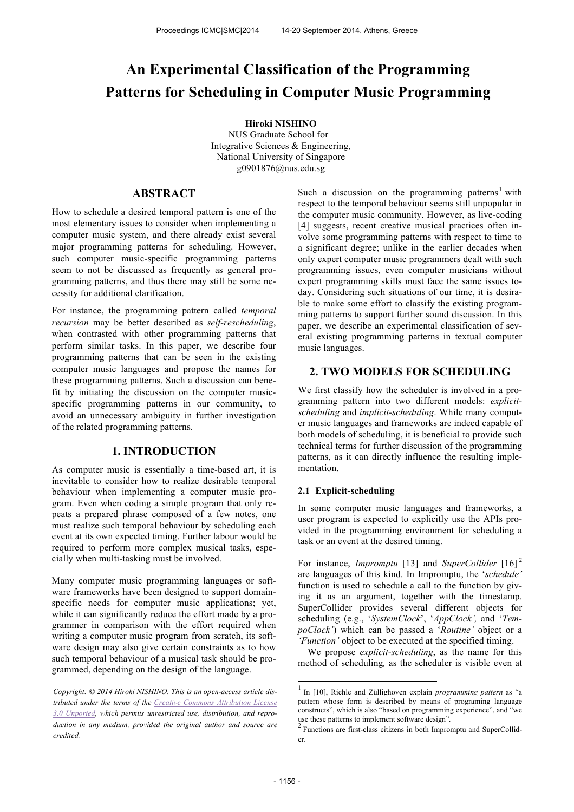# **An Experimental Classification of the Programming Patterns for Scheduling in Computer Music Programming**

## **Hiroki NISHINO**

NUS Graduate School for Integrative Sciences & Engineering, National University of Singapore g0901876@nus.edu.sg

# **ABSTRACT**

How to schedule a desired temporal pattern is one of the most elementary issues to consider when implementing a computer music system, and there already exist several major programming patterns for scheduling. However, such computer music-specific programming patterns seem to not be discussed as frequently as general programming patterns, and thus there may still be some necessity for additional clarification.

For instance, the programming pattern called *temporal recursion* may be better described as *self-rescheduling*, when contrasted with other programming patterns that perform similar tasks. In this paper, we describe four programming patterns that can be seen in the existing computer music languages and propose the names for these programming patterns. Such a discussion can benefit by initiating the discussion on the computer musicspecific programming patterns in our community, to avoid an unnecessary ambiguity in further investigation of the related programming patterns.

# **1. INTRODUCTION**

As computer music is essentially a time-based art, it is inevitable to consider how to realize desirable temporal behaviour when implementing a computer music program. Even when coding a simple program that only repeats a prepared phrase composed of a few notes, one must realize such temporal behaviour by scheduling each event at its own expected timing. Further labour would be required to perform more complex musical tasks, especially when multi-tasking must be involved.

Many computer music programming languages or software frameworks have been designed to support domainspecific needs for computer music applications; yet, while it can significantly reduce the effort made by a programmer in comparison with the effort required when writing a computer music program from scratch, its software design may also give certain constraints as to how such temporal behaviour of a musical task should be programmed, depending on the design of the language.

Such a discussion on the programming patterns<sup>1</sup> with respect to the temporal behaviour seems still unpopular in the computer music community. However, as live-coding [4] suggests, recent creative musical practices often involve some programming patterns with respect to time to a significant degree; unlike in the earlier decades when only expert computer music programmers dealt with such programming issues, even computer musicians without expert programming skills must face the same issues today. Considering such situations of our time, it is desirable to make some effort to classify the existing programming patterns to support further sound discussion. In this paper, we describe an experimental classification of several existing programming patterns in textual computer music languages.

# **2. TWO MODELS FOR SCHEDULING**

We first classify how the scheduler is involved in a programming pattern into two different models: *explicitscheduling* and *implicit-scheduling*. While many computer music languages and frameworks are indeed capable of both models of scheduling, it is beneficial to provide such technical terms for further discussion of the programming patterns, as it can directly influence the resulting implementation.

#### **2.1 Explicit-scheduling**

In some computer music languages and frameworks, a user program is expected to explicitly use the APIs provided in the programming environment for scheduling a task or an event at the desired timing.

For instance, *Impromptu* [13] and *SuperCollider* [16]<sup>2</sup> are languages of this kind. In Impromptu, the '*schedule'* function is used to schedule a call to the function by giving it as an argument, together with the timestamp. SuperCollider provides several different objects for scheduling (e.g., '*SystemClock*', '*AppClock',* and '*TempoClock'*) which can be passed a '*Routine'* object or a *'Function'* object to be executed at the specified timing.

 We propose *explicit-scheduling*, as the name for this method of scheduling*,* as the scheduler is visible even at

*Copyright: © 2014 Hiroki NISHINO. This is an open-access article distributed under the terms of the Creative Commons Attribution License 3.0 Unported, which permits unrestricted use, distribution, and reproduction in any medium, provided the original author and source are credited.*

 1 In [10], Riehle and Züllighoven explain *programming pattern* as "a pattern whose form is described by means of programing language constructs", which is also "based on programming experience", and "we use these patterns to implement software design"*.*

<sup>&</sup>lt;sup>2</sup> Functions are first-class citizens in both Impromptu and SuperCollider.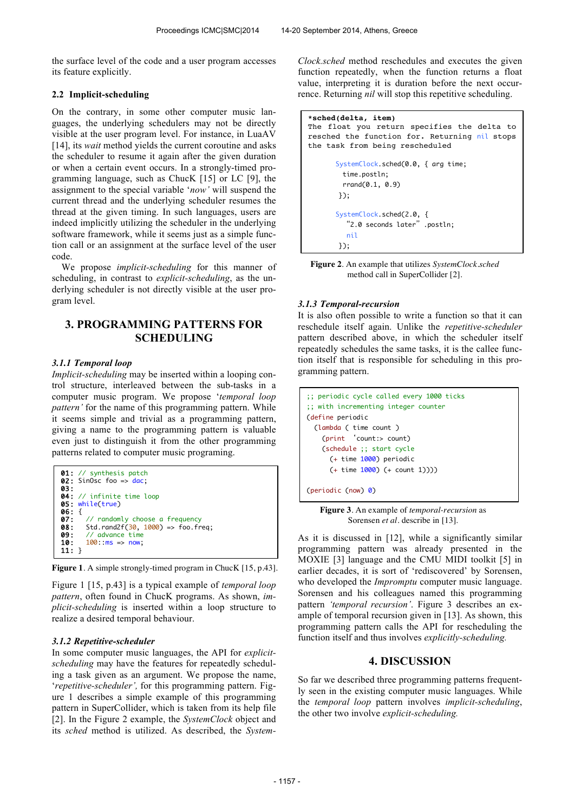the surface level of the code and a user program accesses its feature explicitly.

#### **2.2 Implicit-scheduling**

On the contrary, in some other computer music languages, the underlying schedulers may not be directly visible at the user program level. For instance, in LuaAV [14], its *wait* method yields the current coroutine and asks the scheduler to resume it again after the given duration or when a certain event occurs. In a strongly-timed programming language, such as ChucK [15] or LC [9], the assignment to the special variable '*now'* will suspend the current thread and the underlying scheduler resumes the thread at the given timing. In such languages, users are indeed implicitly utilizing the scheduler in the underlying software framework, while it seems just as a simple function call or an assignment at the surface level of the user code.

 We propose *implicit-scheduling* for this manner of scheduling, in contrast to *explicit-scheduling*, as the underlying scheduler is not directly visible at the user program level.

# **3. PROGRAMMING PATTERNS FOR SCHEDULING**

#### *3.1.1 Temporal loop*

*Implicit-scheduling* may be inserted within a looping control structure, interleaved between the sub-tasks in a computer music program. We propose '*temporal loop pattern'* for the name of this programming pattern. While it seems simple and trivial as a programming pattern, giving a name to the programming pattern is valuable even just to distinguish it from the other programming patterns related to computer music programing.



**Figure 1**. A simple strongly-timed program in ChucK [15, p.43].

Figure 1 [15, p.43] is a typical example of *temporal loop pattern*, often found in ChucK programs. As shown, *implicit-scheduling* is inserted within a loop structure to realize a desired temporal behaviour.

#### *3.1.2 Repetitive-scheduler*

In some computer music languages, the API for *explicitscheduling* may have the features for repeatedly scheduling a task given as an argument. We propose the name, '*repetitive-scheduler',* for this programming pattern. Figure 1 describes a simple example of this programming pattern in SuperCollider, which is taken from its help file [2]. In the Figure 2 example, the *SystemClock* object and its *sched* method is utilized. As described, the *System-* *Clock.sched* method reschedules and executes the given function repeatedly, when the function returns a float value, interpreting it is duration before the next occurrence. Returning *nil* will stop this repetitive scheduling.

```
*sched(delta, item) 
The float you return specifies the delta to 
resched the function for. Returning nil stops 
the task from being rescheduled
        SystemClock.sched(0.0, { arg time;
         time.postln;
         rrand(0.1, 0.9)
        });
        SystemClock.sched(2.0, { 
         "2.0 seconds later" .postln;
          nil
        });
```
**Figure 2**. An example that utilizes *SystemClock.sched*  method call in SuperCollider [2].

#### *3.1.3 Temporal-recursion*

It is also often possible to write a function so that it can reschedule itself again. Unlike the *repetitive-scheduler* pattern described above, in which the scheduler itself repeatedly schedules the same tasks, it is the callee function itself that is responsible for scheduling in this programming pattern.

```
;; periodic cycle called every 1000 ticks
;; with incrementing integer counter
(define periodic
   (lambda ( time count )
     (print 'count:> count)
     (schedule ;; start cycle
       (+ time 1000) periodic
       (+ time 1000) (+ count 1))))
```
(periodic (now) 0)

**Figure 3**. An example of *temporal-recursion* as Sorensen *et al*. describe in [13].

As it is discussed in [12], while a significantly similar programming pattern was already presented in the MOXIE [3] language and the CMU MIDI toolkit [5] in earlier decades, it is sort of 'rediscovered' by Sorensen, who developed the *Impromptu* computer music language. Sorensen and his colleagues named this programming pattern *'temporal recursion'*. Figure 3 describes an example of temporal recursion given in [13]. As shown, this programming pattern calls the API for rescheduling the function itself and thus involves *explicitly-scheduling.*

## **4. DISCUSSION**

So far we described three programming patterns frequently seen in the existing computer music languages. While the *temporal loop* pattern involves *implicit-scheduling*, the other two involve *explicit-scheduling.*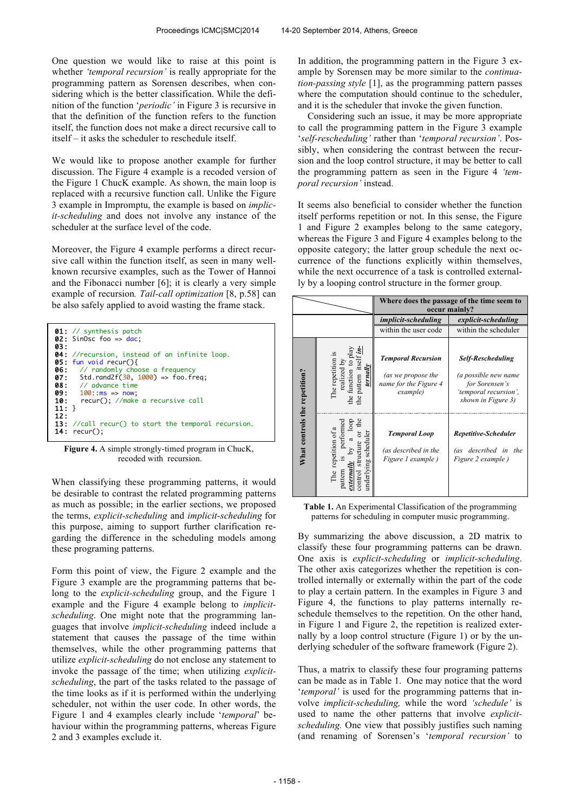One question we would like to raise at this point is whether *'temporal recursion'* is really appropriate for the programming pattern as Sorensen describes, when considering which is the better classification. While the definition of the function '*periodic'* in Figure 3 is recursive in that the definition of the function refers to the function itself, the function does not make a direct recursive call to itself – it asks the scheduler to reschedule itself.

We would like to propose another example for further discussion. The Figure 4 example is a recoded version of the Figure 1 ChucK example. As shown, the main loop is replaced with a recursive function call. Unlike the Figure 3 example in Impromptu, the example is based on *implicit-scheduling* and does not involve any instance of the scheduler at the surface level of the code.

Moreover, the Figure 4 example performs a direct recursive call within the function itself, as seen in many wellknown recursive examples, such as the Tower of Hannoi and the Fibonacci number [6]; it is clearly a very simple example of recursion*. Tail-call optimization* [8, p.58] can be also safely applied to avoid wasting the frame stack.

| 01: // synthesis patch<br>02: SinOsc foo => $dac$ ;<br><b>03:</b>                                                                                                                                                                                                    |                                                                                                                    |
|----------------------------------------------------------------------------------------------------------------------------------------------------------------------------------------------------------------------------------------------------------------------|--------------------------------------------------------------------------------------------------------------------|
| <b>05:</b> fun void recur(){<br><b>06:</b> // randomly choose a frequency<br><b>07:</b> Std.rand2f( $30, 1000$ ) => foo.freq;<br>$08:$ // advance time<br>$0.9: 100: ms \Rightarrow now$<br>10: recur(); //make a recursive call<br>$11:$ }<br>12:<br>$14:$ recur(); | <b>04:</b> //recursion, instead of an infinite loop.<br><b>13:</b> //call recur() to start the temporal recursion. |

**Figure 4.** A simple strongly-timed program in ChucK, recoded with recursion.

When classifying these programming patterns, it would be desirable to contrast the related programming patterns as much as possible; in the earlier sections, we proposed the terms, *explicit-scheduling* and *implicit-scheduling* for this purpose, aiming to support further clarification regarding the difference in the scheduling models among these programing patterns.

Form this point of view, the Figure 2 example and the Figure 3 example are the programming patterns that belong to the *explicit-scheduling* group, and the Figure 1 example and the Figure 4 example belong to *implicitscheduling*. One might note that the programming languages that involve *implicit-scheduling* indeed include a statement that causes the passage of the time within themselves, while the other programming patterns that utilize *explicit-scheduling* do not enclose any statement to invoke the passage of the time; when utilizing *explicitscheduling*, the part of the tasks related to the passage of the time looks as if it is performed within the underlying scheduler, not within the user code. In other words, the Figure 1 and 4 examples clearly include '*temporal*' behaviour within the programming patterns, whereas Figure 2 and 3 examples exclude it.

In addition, the programming pattern in the Figure 3 example by Sorensen may be more similar to the *continuation-passing style* [1], as the programming pattern passes where the computation should continue to the scheduler, and it is the scheduler that invoke the given function.

 Considering such an issue, it may be more appropriate to call the programming pattern in the Figure 3 example '*self-rescheduling'* rather than '*temporal recursion'*. Possibly, when considering the contrast between the recursion and the loop control structure, it may be better to call the programming pattern as seen in the Figure 4 *'temporal recursion'* instead.

It seems also beneficial to consider whether the function itself performs repetition or not. In this sense, the Figure 1 and Figure 2 examples belong to the same category, whereas the Figure 3 and Figure 4 examples belong to the opposite category; the latter group schedule the next occurrence of the functions explicitly within themselves, while the next occurrence of a task is controlled externally by a looping control structure in the former group.

|                               |                                                                                                                                         | Where does the passage of the time seem to<br>occur mainly?                          |                                                                                                                   |
|-------------------------------|-----------------------------------------------------------------------------------------------------------------------------------------|--------------------------------------------------------------------------------------|-------------------------------------------------------------------------------------------------------------------|
|                               |                                                                                                                                         | <i>implicit-scheduling</i>                                                           | explicit-scheduling                                                                                               |
|                               |                                                                                                                                         | within the user code                                                                 | within the scheduler                                                                                              |
| What controls the repetition? | The repetition is<br>realized by<br>the function to play<br>the pattern itself $\mathbf{\underline{i}}$<br>ternally                     | <b>Temporal Recursion</b><br>(as we propose the<br>name for the Figure 4<br>example) | <b>Self-Rescheduling</b><br>(a possible new name<br>for Sorensen's<br>'temporal recursion',<br>shown in Figure 3) |
|                               | the<br>loop<br>performed<br>The repetition of a<br>underlying scheduler<br>ō<br>a<br>structure<br>S<br>externally<br>pattern<br>control | <b>Temporal Loop</b><br>(as described in the<br>Figure 1 example)                    | Repetitive-Scheduler<br>(as described in<br>the<br>Figure 2 example)                                              |

**Table 1.** An Experimental Classification of the programming patterns for scheduling in computer music programming.

By summarizing the above discussion, a 2D matrix to classify these four programming patterns can be drawn. One axis is *explicit-scheduling* or *implicit-scheduling*. The other axis categorizes whether the repetition is controlled internally or externally within the part of the code to play a certain pattern. In the examples in Figure 3 and Figure 4, the functions to play patterns internally reschedule themselves to the repetition. On the other hand, in Figure 1 and Figure 2, the repetition is realized externally by a loop control structure (Figure 1) or by the underlying scheduler of the software framework (Figure 2).

Thus, a matrix to classify these four programing patterns can be made as in Table 1. One may notice that the word '*temporal'* is used for the programming patterns that involve *implicit-scheduling,* while the word *'schedule'* is used to name the other patterns that involve *explicitscheduling.* One view that possibly justifies such naming (and renaming of Sorensen's '*temporal recursion'* to